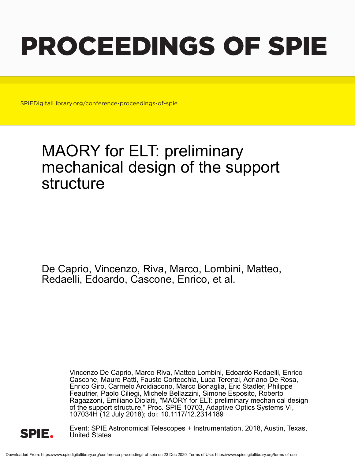# PROCEEDINGS OF SPIE

SPIEDigitalLibrary.org/conference-proceedings-of-spie

# MAORY for ELT: preliminary mechanical design of the support structure

De Caprio, Vincenzo, Riva, Marco, Lombini, Matteo, Redaelli, Edoardo, Cascone, Enrico, et al.

> Vincenzo De Caprio, Marco Riva, Matteo Lombini, Edoardo Redaelli, Enrico Cascone, Mauro Patti, Fausto Cortecchia, Luca Terenzi, Adriano De Rosa, Enrico Giro, Carmelo Arcidiacono, Marco Bonaglia, Eric Stadler, Philippe Feautrier, Paolo Ciliegi, Michele Bellazzini, Simone Esposito, Roberto Ragazzoni, Emiliano Diolaiti, "MAORY for ELT: preliminary mechanical design of the support structure," Proc. SPIE 10703, Adaptive Optics Systems VI, 107034H (12 July 2018); doi: 10.1117/12.2314189



Event: SPIE Astronomical Telescopes + Instrumentation, 2018, Austin, Texas, United States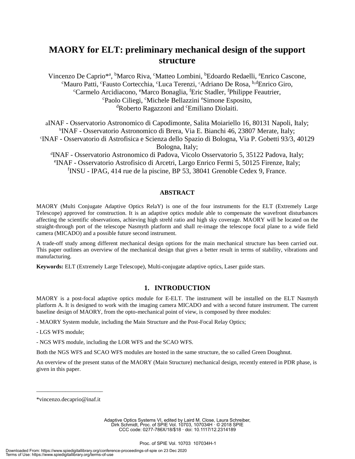# **MAORY for ELT: preliminary mechanical design of the support structure**

Vincenzo De Caprio<sup>\*a</sup>, <sup>b</sup>Marco Riva, <sup>c</sup>Matteo Lombini, <sup>b</sup>Edoardo Redaelli, <sup>a</sup>Enrico Cascone, <sup>c</sup>Mauro Patti, <sup>c</sup>Fausto Cortecchia, <sup>c</sup>Luca Terenzi, <sup>c</sup>Adriano De Rosa, <sup>b,d</sup>Enrico Giro, <sup>c</sup>Carmelo Arcidiacono, <sup>e</sup>Marco Bonaglia, <sup>f</sup>Eric Stadler, <sup>f</sup>Philippe Feautrier, <sup>c</sup>Paolo Ciliegi, <sup>c</sup>Michele Bellazzini <sup>e</sup>Simone Esposito, <sup>d</sup>Roberto Ragazzoni and <sup>c</sup>Emiliano Diolaiti.

aINAF - Osservatorio Astronomico di Capodimonte, Salita Moiariello 16, 80131 Napoli, Italy; b INAF - Osservatorio Astronomico di Brera, Via E. Bianchi 46, 23807 Merate, Italy; c INAF - Osservatorio di Astrofisica e Scienza dello Spazio di Bologna, Via P. Gobetti 93/3, 40129 Bologna, Italy;

d INAF - Osservatorio Astronomico di Padova, Vicolo Osservatorio 5, 35122 Padova, Italy; e INAF - Osservatorio Astrofisico di Arcetri, Largo Enrico Fermi 5, 50125 Firenze, Italy; f INSU - IPAG, 414 rue de la piscine, BP 53, 38041 Grenoble Cedex 9, France.

#### **ABSTRACT**

MAORY (Multi Conjugate Adaptive Optics RelaY) is one of the four instruments for the ELT (Extremely Large Telescope) approved for construction. It is an adaptive optics module able to compensate the wavefront disturbances affecting the scientific observations, achieving high strehl ratio and high sky coverage. MAORY will be located on the straight-through port of the telescope Nasmyth platform and shall re-image the telescope focal plane to a wide field camera (MICADO) and a possible future second instrument.

A trade-off study among different mechanical design options for the main mechanical structure has been carried out. This paper outlines an overview of the mechanical design that gives a better result in terms of stability, vibrations and manufacturing.

**Keywords:** ELT (Extremely Large Telescope), Multi-conjugate adaptive optics, Laser guide stars.

# **1. INTRODUCTION**

MAORY is a post-focal adaptive optics module for E-ELT. The instrument will be installed on the ELT Nasmyth platform A. It is designed to work with the imaging camera MICADO and with a second future instrument. The current baseline design of MAORY, from the opto-mechanical point of view, is composed by three modules:

- MAORY System module, including the Main Structure and the Post-Focal Relay Optics;

- LGS WFS module;

- NGS WFS module, including the LOR WFS and the SCAO WFS.

Both the NGS WFS and SCAO WFS modules are hosted in the same structure, the so called Green Doughnut.

An overview of the present status of the MAORY (Main Structure) mechanical design, recently entered in PDR phase, is given in this paper.

\_\_\_\_\_\_\_\_\_\_\_\_\_\_\_\_\_\_\_\_\_\_\_ \*vincenzo.decaprio@inaf.it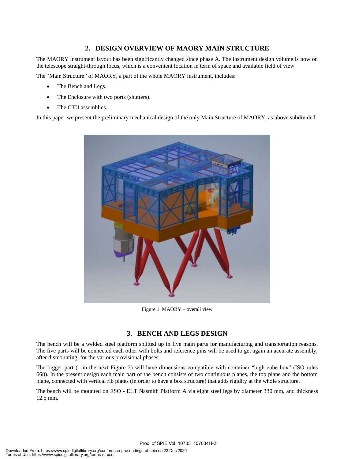# **2. DESIGN OVERVIEW OF MAORY MAIN STRUCTURE**

The MAORY instrument layout has been significantly changed since phase A. The instrument design volume is now on the telescope straight-through focus, which is a convenient location in term of space and available field of view.

The "Main Structure" of MAORY, a part of the whole MAORY instrument, includes:

- The Bench and Legs.
- The Enclosure with two ports (shutters).
- The CTU assemblies.

In this paper we present the preliminary mechanical design of the only Main Structure of MAORY, as above subdivided.



Figure 1. MAORY – overall view

# **3. BENCH AND LEGS DESIGN**

The bench will be a welded steel platform splitted up in five main parts for manufacturing and transportation reasons. The five parts will be connected each other with bolts and reference pins will be used to get again an accurate assembly, after dismounting, for the various provisional phases.

The bigger part (1 in the next Figure 2) will have dimensions compatible with container "high cube box" (ISO rules 668). In the present design each main part of the bench consists of two continuous planes, the top plane and the bottom plane, connected with vertical rib plates (in order to have a box structure) that adds rigidity at the whole structure.

The bench will be mounted on ESO - ELT Nasmith Platform A via eight steel legs by diameter 330 mm, and thickness 12.5 mm.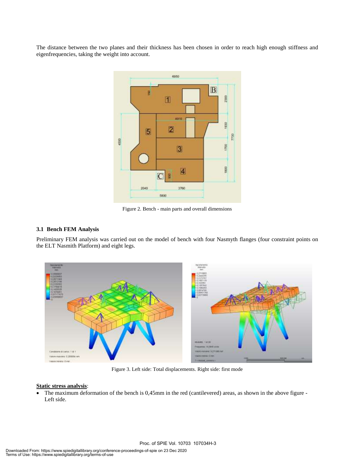The distance between the two planes and their thickness has been chosen in order to reach high enough stiffness and eigenfrequencies, taking the weight into account.



Figure 2. Bench - main parts and overall dimensions

#### **3.1 Bench FEM Analysis**

Preliminary FEM analysis was carried out on the model of bench with four Nasmyth flanges (four constraint points on the ELT Nasmith Platform) and eight legs.



Figure 3. Left side: Total displacements. Right side: first mode

#### **Static stress analysis**:

• The maximum deformation of the bench is 0,45mm in the red (cantilevered) areas, as shown in the above figure -Left side.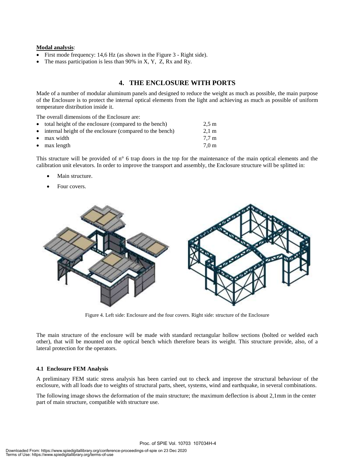#### **Modal analysis**:

- First mode frequency: 14,6 Hz (as shown in the Figure 3 Right side).
- The mass participation is less than 90% in X, Y, Z, Rx and Ry.

# **4. THE ENCLOSURE WITH PORTS**

Made of a number of modular aluminum panels and designed to reduce the weight as much as possible, the main purpose of the Enclosure is to protect the internal optical elements from the light and achieving as much as possible of uniform temperature distribution inside it.

The overall dimensions of the Enclosure are: • total height of the enclosure (compared to the bench) 2,5 m internal height of the enclosure (compared to the bench) 2,1 m max width 7,7 m max length 7,0 m

This structure will be provided of n° 6 trap doors in the top for the maintenance of the main optical elements and the calibration unit elevators. In order to improve the transport and assembly, the Enclosure structure will be splitted in:

- Main structure.
- Four covers.



Figure 4. Left side: Enclosure and the four covers. Right side: structure of the Enclosure

The main structure of the enclosure will be made with standard rectangular hollow sections (bolted or welded each other), that will be mounted on the optical bench which therefore bears its weight. This structure provide, also, of a lateral protection for the operators.

#### **4.1 Enclosure FEM Analysis**

A preliminary FEM static stress analysis has been carried out to check and improve the structural behaviour of the enclosure, with all loads due to weights of structural parts, sheet, systems, wind and earthquake, in several combinations.

The following image shows the deformation of the main structure; the maximum deflection is about 2,1mm in the center part of main structure, compatible with structure use.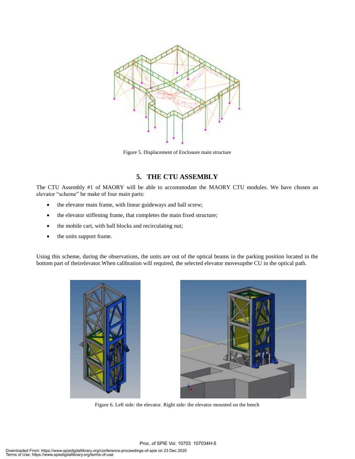

Figure 5. Displacement of Enclosure main structure

# **5. THE CTU ASSEMBLY**

The CTU Assembly #1 of MAORY will be able to accommodate the MAORY CTU modules. We have chosen an elevator "scheme" be make of four main parts:

- the elevator main frame, with linear guideways and ball screw;
- the elevator stiffening frame, that completes the main fixed structure;
- the mobile cart, with ball blocks and recirculating nut;
- the units support frame.

Using this scheme, during the observations, the units are out of the optical beams in the parking position located in the bottom part of theirelevator.When calibration will required, the selected elevator movesupthe CU in the optical path.





Figure 6. Left side: the elevator. Right side: the elevator mounted on the bench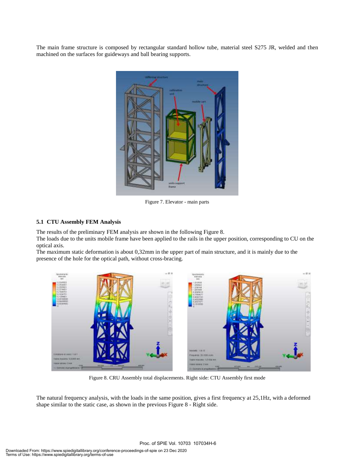The main frame structure is composed by rectangular standard hollow tube, material steel S275 JR, welded and then machined on the surfaces for guideways and ball bearing supports.



Figure 7. Elevator - main parts

#### **5.1 CTU Assembly FEM Analysis**

The results of the preliminary FEM analysis are shown in the following Figure 8.

The loads due to the units mobile frame have been applied to the rails in the upper position, corresponding to CU on the optical axis.

The maximum static deformation is about 0,32mm in the upper part of main structure, and it is mainly due to the presence of the hole for the optical path, without cross-bracing.



Figure 8. CRU Assembly total displacements. Right side: CTU Assembly first mode

The natural frequency analysis, with the loads in the same position, gives a first frequency at 25,1Hz, with a deformed shape similar to the static case, as shown in the previous Figure 8 - Right side.